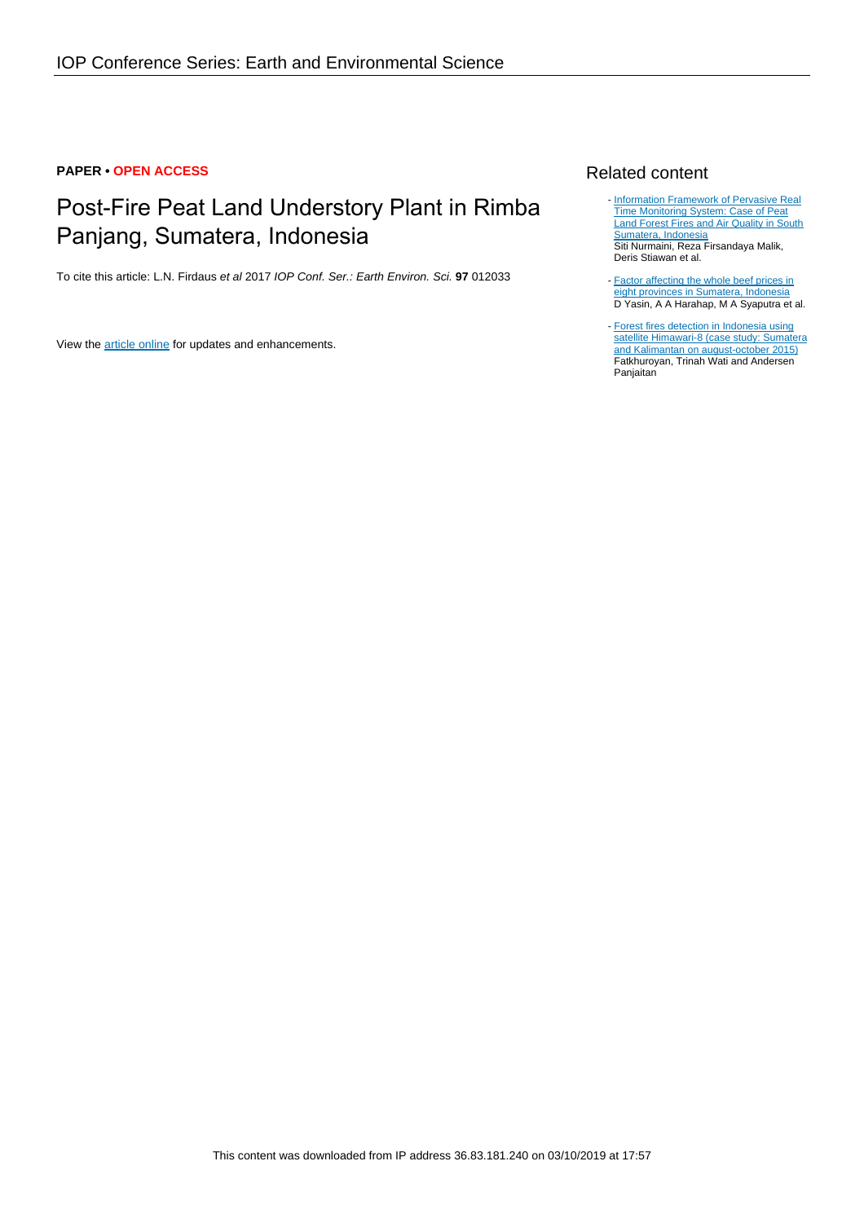#### **PAPER • OPEN ACCESS**

# Post-Fire Peat Land Understory Plant in Rimba Panjang, Sumatera, Indonesia

To cite this article: L.N. Firdaus et al 2017 IOP Conf. Ser.: Earth Environ. Sci. **97** 012033

View the [article online](https://doi.org/10.1088/1755-1315/97/1/012033) for updates and enhancements.

### Related content

- [Information Framework of Pervasive Real](http://iopscience.iop.org/article/10.1088/1757-899X/190/1/012029) [Time Monitoring System: Case of Peat](http://iopscience.iop.org/article/10.1088/1757-899X/190/1/012029) [Land Forest Fires and Air Quality in South](http://iopscience.iop.org/article/10.1088/1757-899X/190/1/012029) [Sumatera, Indonesia](http://iopscience.iop.org/article/10.1088/1757-899X/190/1/012029) Siti Nurmaini, Reza Firsandaya Malik, Deris Stiawan et al.
- **[Factor affecting the whole beef prices in](http://iopscience.iop.org/article/10.1088/1755-1315/122/1/012136)** [eight provinces in Sumatera, Indonesia](http://iopscience.iop.org/article/10.1088/1755-1315/122/1/012136) D Yasin, A A Harahap, M A Syaputra et al.
- [Forest fires detection in Indonesia using](http://iopscience.iop.org/article/10.1088/1755-1315/54/1/012053) [satellite Himawari-8 \(case study: Sumatera](http://iopscience.iop.org/article/10.1088/1755-1315/54/1/012053) [and Kalimantan on august-october 2015\)](http://iopscience.iop.org/article/10.1088/1755-1315/54/1/012053) Fatkhuroyan, Trinah Wati and Andersen Panjaitan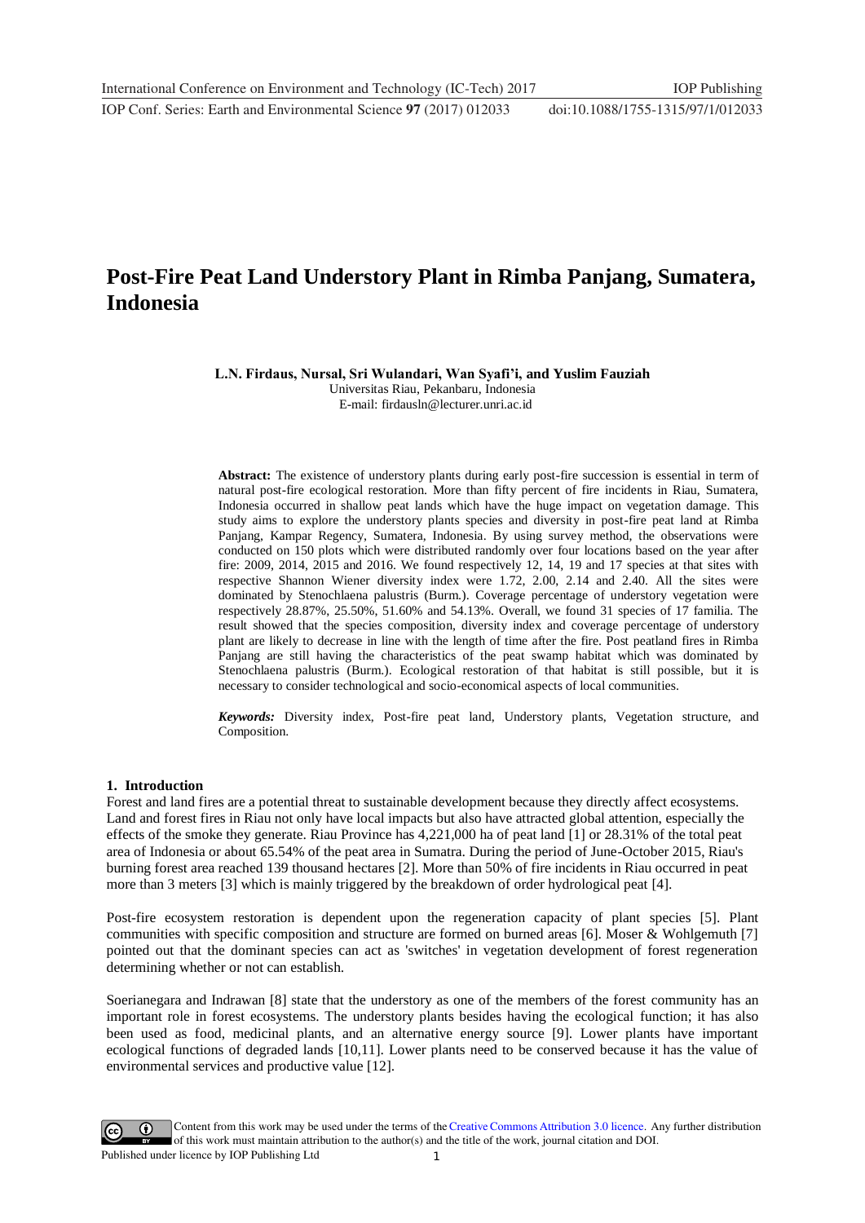## **Post-Fire Peat Land Understory Plant in Rimba Panjang, Sumatera, Indonesia**

**L.N. Firdaus, Nursal, Sri Wulandari, Wan Syafi'i, and Yuslim Fauziah**

Universitas Riau, Pekanbaru, Indonesia E-mail: firdausln@lecturer.unri.ac.id

**Abstract:** The existence of understory plants during early post-fire succession is essential in term of natural post-fire ecological restoration. More than fifty percent of fire incidents in Riau, Sumatera, Indonesia occurred in shallow peat lands which have the huge impact on vegetation damage. This study aims to explore the understory plants species and diversity in post-fire peat land at Rimba Panjang, Kampar Regency, Sumatera, Indonesia. By using survey method, the observations were conducted on 150 plots which were distributed randomly over four locations based on the year after fire: 2009, 2014, 2015 and 2016. We found respectively 12, 14, 19 and 17 species at that sites with respective Shannon Wiener diversity index were 1.72, 2.00, 2.14 and 2.40. All the sites were dominated by Stenochlaena palustris (Burm.). Coverage percentage of understory vegetation were respectively 28.87%, 25.50%, 51.60% and 54.13%. Overall, we found 31 species of 17 familia. The result showed that the species composition, diversity index and coverage percentage of understory plant are likely to decrease in line with the length of time after the fire. Post peatland fires in Rimba Panjang are still having the characteristics of the peat swamp habitat which was dominated by Stenochlaena palustris (Burm.). Ecological restoration of that habitat is still possible, but it is necessary to consider technological and socio-economical aspects of local communities.

*Keywords:* Diversity index, Post-fire peat land, Understory plants, Vegetation structure, and Composition.

#### **1. Introduction**

Forest and land fires are a potential threat to sustainable development because they directly affect ecosystems. Land and forest fires in Riau not only have local impacts but also have attracted global attention, especially the effects of the smoke they generate. Riau Province has 4,221,000 ha of peat land [1] or 28.31% of the total peat area of Indonesia or about 65.54% of the peat area in Sumatra. During the period of June-October 2015, Riau's burning forest area reached 139 thousand hectares [2]. More than 50% of fire incidents in Riau occurred in peat more than 3 meters [3] which is mainly triggered by the breakdown of order hydrological peat [4].

Post-fire ecosystem restoration is dependent upon the regeneration capacity of plant species [5]. Plant communities with specific composition and structure are formed on burned areas [6]. Moser & Wohlgemuth [7] pointed out that the dominant species can act as 'switches' in vegetation development of forest regeneration determining whether or not can establish.

Soerianegara and Indrawan [8] state that the understory as one of the members of the forest community has an important role in forest ecosystems. The understory plants besides having the ecological function; it has also been used as food, medicinal plants, and an alternative energy source [9]. Lower plants have important ecological functions of degraded lands [10,11]. Lower plants need to be conserved because it has the value of environmental services and productive value [12].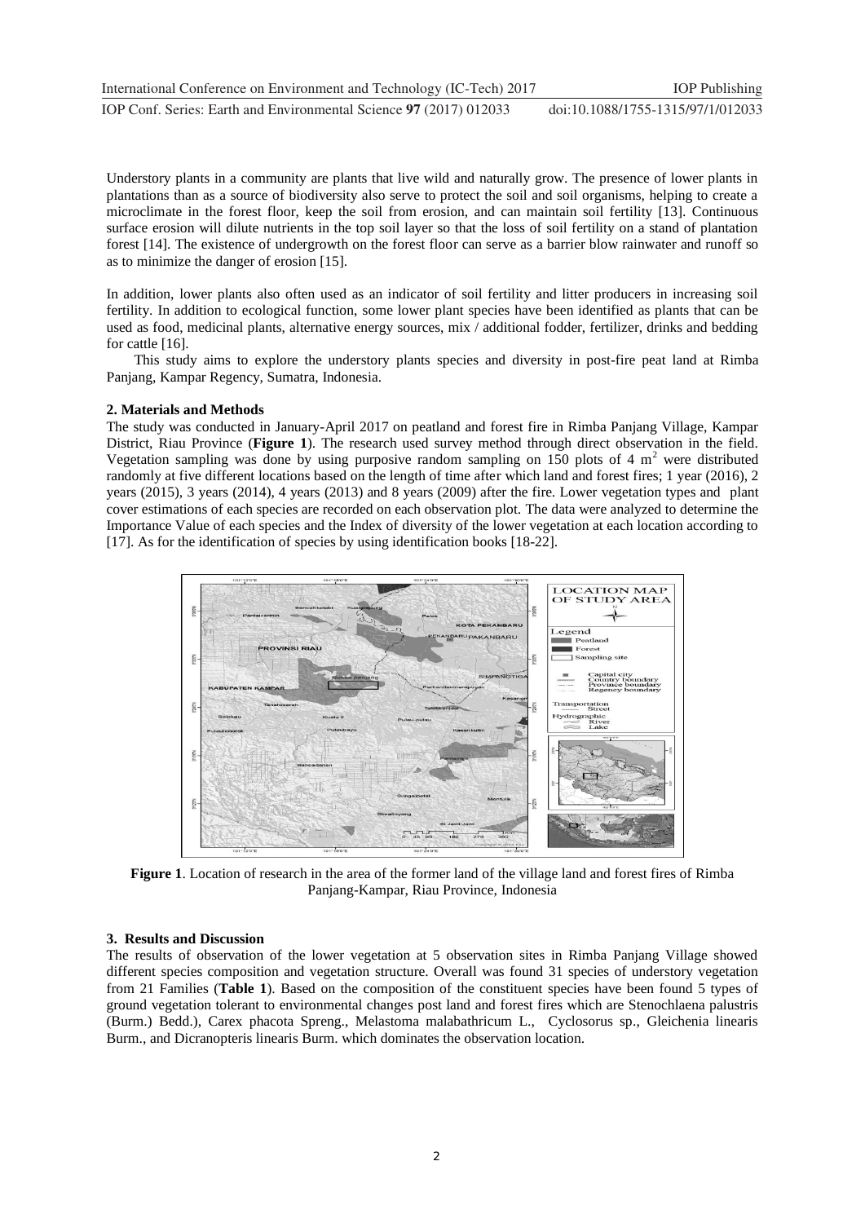Understory plants in a community are plants that live wild and naturally grow. The presence of lower plants in plantations than as a source of biodiversity also serve to protect the soil and soil organisms, helping to create a microclimate in the forest floor, keep the soil from erosion, and can maintain soil fertility [13]. Continuous surface erosion will dilute nutrients in the top soil layer so that the loss of soil fertility on a stand of plantation forest [14]. The existence of undergrowth on the forest floor can serve as a barrier blow rainwater and runoff so as to minimize the danger of erosion [15].

In addition, lower plants also often used as an indicator of soil fertility and litter producers in increasing soil fertility. In addition to ecological function, some lower plant species have been identified as plants that can be used as food, medicinal plants, alternative energy sources, mix / additional fodder, fertilizer, drinks and bedding for cattle [16].

This study aims to explore the understory plants species and diversity in post-fire peat land at Rimba Panjang, Kampar Regency, Sumatra, Indonesia.

#### **2. Materials and Methods**

The study was conducted in January-April 2017 on peatland and forest fire in Rimba Panjang Village, Kampar District, Riau Province (**Figure 1**). The research used survey method through direct observation in the field. Vegetation sampling was done by using purposive random sampling on 150 plots of 4  $m<sup>2</sup>$  were distributed randomly at five different locations based on the length of time after which land and forest fires; 1 year (2016), 2 years (2015), 3 years (2014), 4 years (2013) and 8 years (2009) after the fire. Lower vegetation types and plant cover estimations of each species are recorded on each observation plot. The data were analyzed to determine the Importance Value of each species and the Index of diversity of the lower vegetation at each location according to [17]. As for the identification of species by using identification books [18-22].



**Figure 1**. Location of research in the area of the former land of the village land and forest fires of Rimba Panjang-Kampar, Riau Province, Indonesia

#### **3. Results and Discussion**

The results of observation of the lower vegetation at 5 observation sites in Rimba Panjang Village showed different species composition and vegetation structure. Overall was found 31 species of understory vegetation from 21 Families (**Table 1**). Based on the composition of the constituent species have been found 5 types of ground vegetation tolerant to environmental changes post land and forest fires which are Stenochlaena palustris (Burm.) Bedd.), Carex phacota Spreng., Melastoma malabathricum L., Cyclosorus sp., Gleichenia linearis Burm., and Dicranopteris linearis Burm. which dominates the observation location.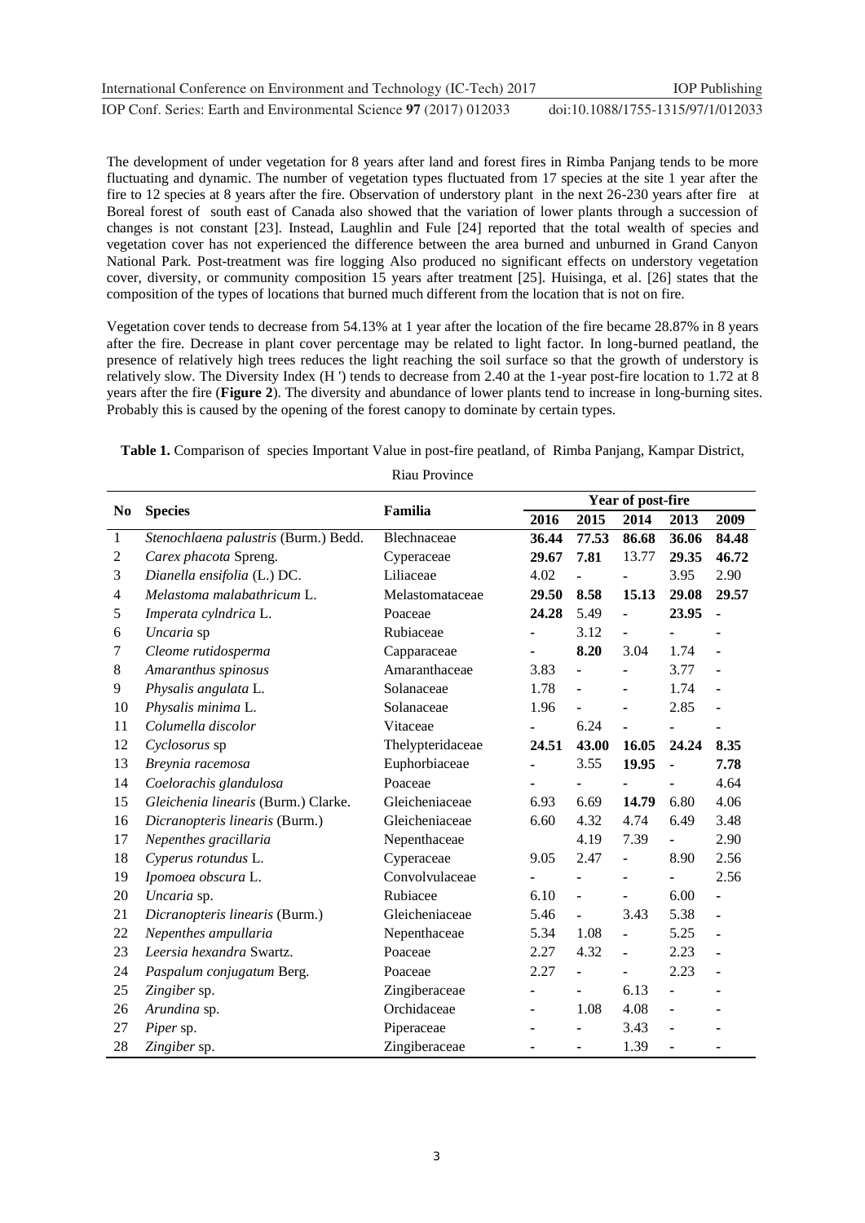The development of under vegetation for 8 years after land and forest fires in Rimba Panjang tends to be more fluctuating and dynamic. The number of vegetation types fluctuated from 17 species at the site 1 year after the fire to 12 species at 8 years after the fire. Observation of understory plant in the next 26-230 years after fire at Boreal forest of south east of Canada also showed that the variation of lower plants through a succession of changes is not constant [23]. Instead, Laughlin and Fule [24] reported that the total wealth of species and vegetation cover has not experienced the difference between the area burned and unburned in Grand Canyon National Park. Post-treatment was fire logging Also produced no significant effects on understory vegetation cover, diversity, or community composition 15 years after treatment [25]. Huisinga, et al. [26] states that the composition of the types of locations that burned much different from the location that is not on fire.

Vegetation cover tends to decrease from 54.13% at 1 year after the location of the fire became 28.87% in 8 years after the fire. Decrease in plant cover percentage may be related to light factor. In long-burned peatland, the presence of relatively high trees reduces the light reaching the soil surface so that the growth of understory is relatively slow. The Diversity Index (H ') tends to decrease from 2.40 at the 1-year post-fire location to 1.72 at 8 years after the fire (**Figure 2**). The diversity and abundance of lower plants tend to increase in long-burning sites. Probably this is caused by the opening of the forest canopy to dominate by certain types.

**Table 1.** Comparison of species Important Value in post-fire peatland, of Rimba Panjang, Kampar District,

|                          | <b>Species</b>                       | Familia          | Year of post-fire |                |                |                |                |
|--------------------------|--------------------------------------|------------------|-------------------|----------------|----------------|----------------|----------------|
| N <sub>0</sub>           |                                      |                  | 2016              | 2015           | 2014           | 2013           | 2009           |
| $\mathbf{1}$             | Stenochlaena palustris (Burm.) Bedd. | Blechnaceae      | 36.44             | 77.53          | 86.68          | 36.06          | 84.48          |
| $\overline{c}$           | Carex phacota Spreng.                | Cyperaceae       | 29.67             | 7.81           | 13.77          | 29.35          | 46.72          |
| 3                        | Dianella ensifolia (L.) DC.          | Liliaceae        | 4.02              |                |                | 3.95           | 2.90           |
| $\overline{\mathcal{A}}$ | Melastoma malabathricum L.           | Melastomataceae  | 29.50             | 8.58           | 15.13          | 29.08          | 29.57          |
| 5                        | Imperata cylndrica L.                | Poaceae          | 24.28             | 5.49           |                | 23.95          | $\blacksquare$ |
| 6                        | Uncaria sp                           | Rubiaceae        |                   | 3.12           | $\blacksquare$ | ÷,             |                |
| 7                        | Cleome rutidosperma                  | Capparaceae      |                   | 8.20           | 3.04           | 1.74           | $\blacksquare$ |
| 8                        | Amaranthus spinosus                  | Amaranthaceae    | 3.83              |                |                | 3.77           | L.             |
| 9                        | Physalis angulata L.                 | Solanaceae       | 1.78              |                |                | 1.74           |                |
| 10                       | Physalis minima L.                   | Solanaceae       | 1.96              | $\blacksquare$ |                | 2.85           |                |
| 11                       | Columella discolor                   | Vitaceae         |                   | 6.24           |                |                |                |
| 12                       | Cyclosorus sp                        | Thelypteridaceae | 24.51             | 43.00          | 16.05          | 24.24          | 8.35           |
| 13                       | Breynia racemosa                     | Euphorbiaceae    |                   | 3.55           | 19.95          | $\blacksquare$ | 7.78           |
| 14                       | Coelorachis glandulosa               | Poaceae          |                   | $\blacksquare$ |                |                | 4.64           |
| 15                       | Gleichenia linearis (Burm.) Clarke.  | Gleicheniaceae   | 6.93              | 6.69           | 14.79          | 6.80           | 4.06           |
| 16                       | Dicranopteris linearis (Burm.)       | Gleicheniaceae   | 6.60              | 4.32           | 4.74           | 6.49           | 3.48           |
| 17                       | Nepenthes gracillaria                | Nepenthaceae     |                   | 4.19           | 7.39           | ÷,             | 2.90           |
| 18                       | Cyperus rotundus L.                  | Cyperaceae       | 9.05              | 2.47           | $\blacksquare$ | 8.90           | 2.56           |
| 19                       | Ipomoea obscura L.                   | Convolvulaceae   |                   |                |                |                | 2.56           |
| 20                       | Uncaria sp.                          | Rubiacee         | 6.10              | $\overline{a}$ |                | 6.00           | $\blacksquare$ |
| 21                       | Dicranopteris linearis (Burm.)       | Gleicheniaceae   | 5.46              |                | 3.43           | 5.38           | $\blacksquare$ |
| 22                       | Nepenthes ampullaria                 | Nepenthaceae     | 5.34              | 1.08           | $\blacksquare$ | 5.25           | $\blacksquare$ |
| 23                       | Leersia hexandra Swartz.             | Poaceae          | 2.27              | 4.32           | $\blacksquare$ | 2.23           | $\blacksquare$ |
| 24                       | Paspalum conjugatum Berg.            | Poaceae          | 2.27              | $\blacksquare$ | $\blacksquare$ | 2.23           | $\blacksquare$ |
| 25                       | Zingiber sp.                         | Zingiberaceae    |                   | $\blacksquare$ | 6.13           | ÷,             |                |
| 26                       | Arundina sp.                         | Orchidaceae      |                   | 1.08           | 4.08           | ÷,             |                |
| 27                       | Piper sp.                            | Piperaceae       |                   |                | 3.43           |                |                |
| 28                       | Zingiber sp.                         | Zingiberaceae    |                   |                | 1.39           |                |                |

Riau Province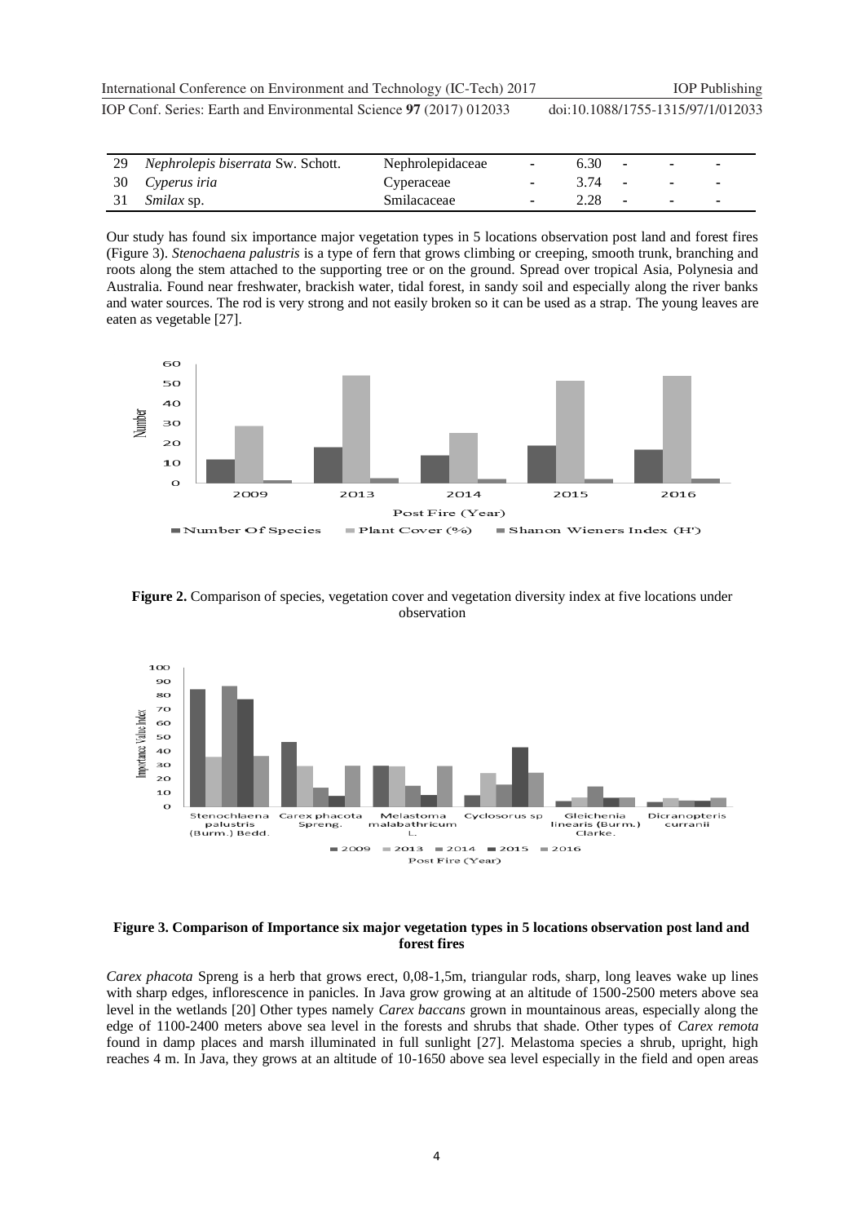**1234567890** IOP Conf. Series: Earth and Environmental Science **97** (2017) 012033 doi :10.1088/1755-1315/97/1/012033 International Conference on Environment and Technology (IC-Tech) 2017 IOP Publishing

| 29 Nephrolepis biserrata Sw. Schott. | Nephrolepidaceae | $\sim$ | 6.30       | $\overline{\phantom{a}}$ | $\overline{\phantom{0}}$ |
|--------------------------------------|------------------|--------|------------|--------------------------|--------------------------|
| 30 Cyperus iria                      | Cyperaceae       |        | 3.74 -     |                          |                          |
| 31 <i>Smilax</i> sp.                 | Smilacaceae      |        | $2.28 - -$ |                          |                          |

Our study has found six importance major vegetation types in 5 locations observation post land and forest fires (Figure 3). *Stenochaena palustris* is a type of fern that grows climbing or creeping, smooth trunk, branching and roots along the stem attached to the supporting tree or on the ground. Spread over tropical Asia, Polynesia and Australia. Found near freshwater, brackish water, tidal forest, in sandy soil and especially along the river banks and water sources. The rod is very strong and not easily broken so it can be used as a strap. The young leaves are eaten as vegetable [27].



**Figure 2.** Comparison of species, vegetation cover and vegetation diversity index at five locations under observation



#### **Figure 3. Comparison of Importance six major vegetation types in 5 locations observation post land and forest fires**

*Carex phacota* Spreng is a herb that grows erect, 0,08-1,5m, triangular rods, sharp, long leaves wake up lines with sharp edges, inflorescence in panicles. In Java grow growing at an altitude of 1500-2500 meters above sea level in the wetlands [20] Other types namely *Carex baccans* grown in mountainous areas, especially along the edge of 1100-2400 meters above sea level in the forests and shrubs that shade. Other types of *Carex remota* found in damp places and marsh illuminated in full sunlight [27]. Melastoma species a shrub, upright, high reaches 4 m. In Java, they grows at an altitude of 10-1650 above sea level especially in the field and open areas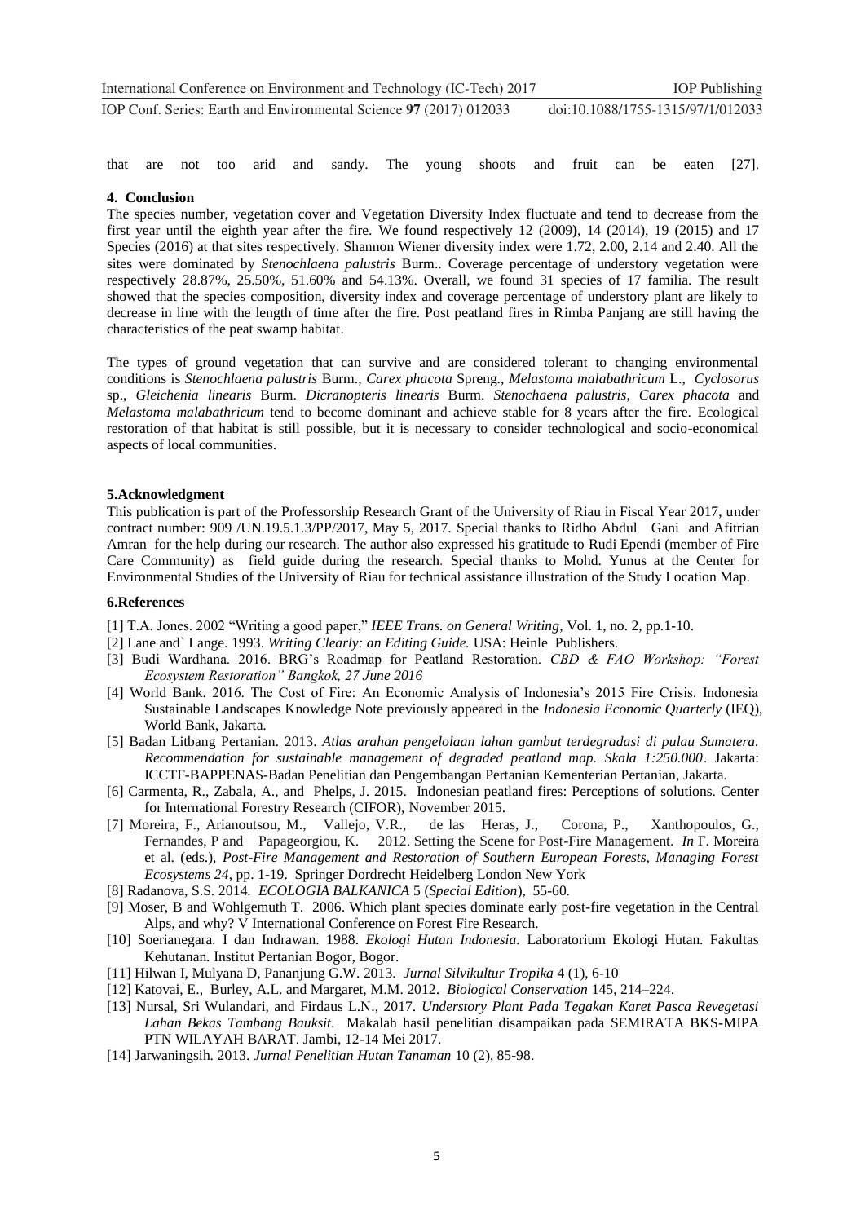that are not too arid and sandy. The young shoots and fruit can be eaten [27].

#### **4. Conclusion**

The species number, vegetation cover and Vegetation Diversity Index fluctuate and tend to decrease from the first year until the eighth year after the fire. We found respectively 12 (2009**)**, 14 (2014), 19 (2015) and 17 Species (2016) at that sites respectively. Shannon Wiener diversity index were 1.72, 2.00, 2.14 and 2.40. All the sites were dominated by *Stenochlaena palustris* Burm.. Coverage percentage of understory vegetation were respectively 28.87%, 25.50%, 51.60% and 54.13%. Overall, we found 31 species of 17 familia. The result showed that the species composition, diversity index and coverage percentage of understory plant are likely to decrease in line with the length of time after the fire. Post peatland fires in Rimba Panjang are still having the characteristics of the peat swamp habitat.

The types of ground vegetation that can survive and are considered tolerant to changing environmental conditions is *Stenochlaena palustris* Burm., *Carex phacota* Spreng., *Melastoma malabathricum* L., *Cyclosorus* sp., *Gleichenia linearis* Burm. *Dicranopteris linearis* Burm. *Stenochaena palustris*, *Carex phacota* and *Melastoma malabathricum* tend to become dominant and achieve stable for 8 years after the fire. Ecological restoration of that habitat is still possible, but it is necessary to consider technological and socio-economical aspects of local communities.

#### **5.Acknowledgment**

This publication is part of the Professorship Research Grant of the University of Riau in Fiscal Year 2017, under contract number: 909 /UN.19.5.1.3/PP/2017, May 5, 2017. Special thanks to Ridho Abdul Gani and Afitrian Amran for the help during our research. The author also expressed his gratitude to Rudi Ependi (member of Fire Care Community) as field guide during the research. Special thanks to Mohd. Yunus at the Center for Environmental Studies of the University of Riau for technical assistance illustration of the Study Location Map.

#### **6.References**

- [1] T.A. Jones. 2002 "Writing a good paper," *IEEE Trans. on General Writing*, Vol. 1, no. 2, pp.1-10.
- [2] Lane and` Lange. 1993. *Writing Clearly: an Editing Guide.* USA: Heinle Publishers.
- [3] Budi Wardhana. 2016. BRG's Roadmap for Peatland Restoration. *CBD & FAO Workshop: "Forest Ecosystem Restoration" Bangkok, 27 June 2016*
- [4] World Bank. 2016. The Cost of Fire: An Economic Analysis of Indonesia's 2015 Fire Crisis. Indonesia Sustainable Landscapes Knowledge Note previously appeared in the *Indonesia Economic Quarterly* (IEQ), World Bank, Jakarta.
- [5] Badan Litbang Pertanian. 2013. *Atlas arahan pengelolaan lahan gambut terdegradasi di pulau Sumatera. Recommendation for sustainable management of degraded peatland map. Skala 1:250.000*. Jakarta: ICCTF-BAPPENAS-Badan Penelitian dan Pengembangan Pertanian Kementerian Pertanian, Jakarta.
- [6] Carmenta, R., Zabala, A., and Phelps, J. 2015. Indonesian peatland fires: Perceptions of solutions. Center for International Forestry Research (CIFOR), November 2015.
- [7] Moreira, F., Arianoutsou, M., Vallejo, V.R., de las Heras, J., Corona, P., Xanthopoulos, G., Fernandes, P and Papageorgiou, K. 2012. Setting the Scene for Post-Fire Management. *In* F. Moreira et al. (eds.), *Post-Fire Management and Restoration of Southern European Forests, Managing Forest Ecosystems 24*, pp. 1-19. Springer Dordrecht Heidelberg London New York
- [8] Radanova, S.S. 2014. *ECOLOGIA BALKANICA* 5 (*Special Edition*), 55-60.
- [9] Moser, B and Wohlgemuth T. 2006. Which plant species dominate early post-fire vegetation in the Central Alps, and why? V International Conference on Forest Fire Research.
- [10] Soerianegara. I dan Indrawan. 1988. *Ekologi Hutan Indonesia.* Laboratorium Ekologi Hutan. Fakultas Kehutanan. Institut Pertanian Bogor, Bogor.
- [11] Hilwan I, Mulyana D, Pananjung G.W. 2013. *Jurnal Silvikultur Tropika* 4 (1), 6-10
- [12] Katovai, E., Burley, A.L. and Margaret, M.M. 2012. *Biological Conservation* 145, 214–224.
- [13] Nursal, Sri Wulandari, and Firdaus L.N., 2017. *Understory Plant Pada Tegakan Karet Pasca Revegetasi Lahan Bekas Tambang Bauksit*. Makalah hasil penelitian disampaikan pada SEMIRATA BKS-MIPA PTN WILAYAH BARAT. Jambi, 12-14 Mei 2017.
- [14] Jarwaningsih. 2013. *Jurnal Penelitian Hutan Tanaman* 10 (2), 85-98.